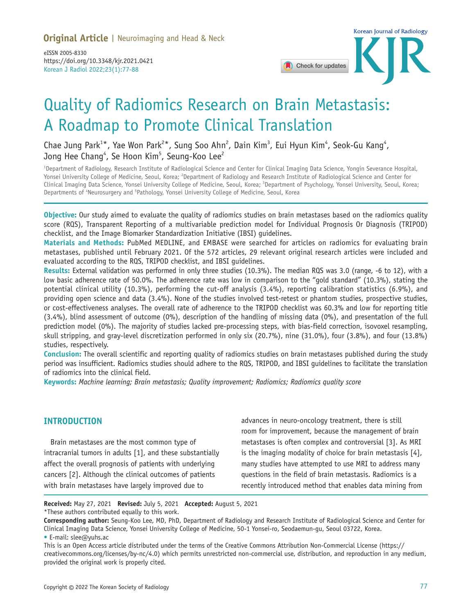Korean J Radiol 2022;23(1):77-88 eISSN 2005-8330 https://doi.org/10.3348/kjr.2021.0421



# Quality of Radiomics Research on Brain Metastasis: A Roadmap to Promote Clinical Translation

Chae Jung Park $^{1*}$ , Yae Won Park $^{2*}$ , Sung Soo Ahn $^2$ , Dain Kim $^3$ , Eui Hyun Kim $^4$ , Seok-Gu Kang $^4$ , Jong Hee Chang $^4$ , Se Hoon Kim $^5$ , Seung-Koo Lee $^2$ 

1 Department of Radiology, Research Institute of Radiological Science and Center for Clinical Imaging Data Science, Yongin Severance Hospital, Yonsei University College of Medicine, Seoul, Korea; <sup>2</sup>Department of Radiology and Research Institute of Radiological Science and Center for Clinical Imaging Data Science, Yonsei University College of Medicine, Seoul, Korea; <sup>3</sup>Department of Psychology, Yonsei University, Seoul, Korea; Departments of 'Neurosurgery and <sup>5</sup>Pathology, Yonsei University College of Medicine, Seoul, Korea

**Objective:** Our study aimed to evaluate the quality of radiomics studies on brain metastases based on the radiomics quality score (RQS), Transparent Reporting of a multivariable prediction model for Individual Prognosis Or Diagnosis (TRIPOD) checklist, and the Image Biomarker Standardization Initiative (IBSI) guidelines.

**Materials and Methods:** PubMed MEDLINE, and EMBASE were searched for articles on radiomics for evaluating brain metastases, published until February 2021. Of the 572 articles, 29 relevant original research articles were included and evaluated according to the RQS, TRIPOD checklist, and IBSI guidelines.

**Results:** External validation was performed in only three studies (10.3%). The median RQS was 3.0 (range, -6 to 12), with a low basic adherence rate of 50.0%. The adherence rate was low in comparison to the "gold standard" (10.3%), stating the potential clinical utility (10.3%), performing the cut-off analysis (3.4%), reporting calibration statistics (6.9%), and providing open science and data (3.4%). None of the studies involved test-retest or phantom studies, prospective studies, or cost-effectiveness analyses. The overall rate of adherence to the TRIPOD checklist was 60.3% and low for reporting title (3.4%), blind assessment of outcome (0%), description of the handling of missing data (0%), and presentation of the full prediction model (0%). The majority of studies lacked pre-processing steps, with bias-field correction, isovoxel resampling, skull stripping, and gray-level discretization performed in only six (20.7%), nine (31.0%), four (3.8%), and four (13.8%) studies, respectively.

**Conclusion:** The overall scientific and reporting quality of radiomics studies on brain metastases published during the study period was insufficient. Radiomics studies should adhere to the RQS, TRIPOD, and IBSI guidelines to facilitate the translation of radiomics into the clinical field.

**Keywords:** *Machine learning; Brain metastasis; Quality improvement; Radiomics; Radiomics quality score*

#### **INTRODUCTION**

Brain metastases are the most common type of intracranial tumors in adults [1], and these substantially affect the overall prognosis of patients with underlying cancers [2]. Although the clinical outcomes of patients with brain metastases have largely improved due to

advances in neuro-oncology treatment, there is still room for improvement, because the management of brain metastases is often complex and controversial [3]. As MRI is the imaging modality of choice for brain metastasis [4], many studies have attempted to use MRI to address many questions in the field of brain metastasis. Radiomics is a recently introduced method that enables data mining from

**Received:** May 27, 2021 **Revised:** July 5, 2021 **Accepted:** August 5, 2021 \*These authors contributed equally to this work.

**Corresponding author:** Seung-Koo Lee, MD, PhD, Department of Radiology and Research Institute of Radiological Science and Center for Clinical Imaging Data Science, Yonsei University College of Medicine, 50-1 Yonsei-ro, Seodaemun-gu, Seoul 03722, Korea. • E-mail: slee@yuhs.ac

This is an Open Access article distributed under the terms of the Creative Commons Attribution Non-Commercial License (https:// creativecommons.org/licenses/by-nc/4.0) which permits unrestricted non-commercial use, distribution, and reproduction in any medium, provided the original work is properly cited.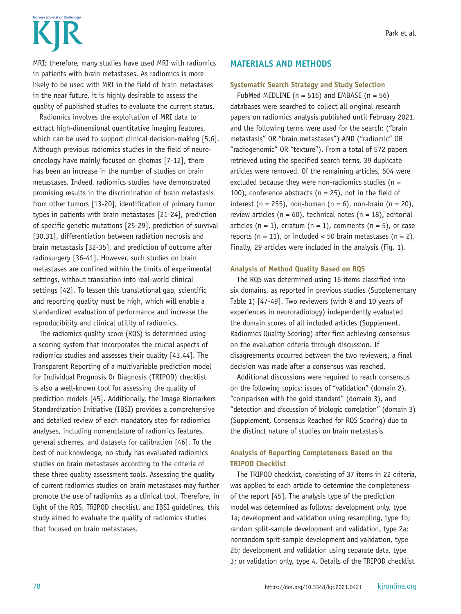# Korean Journal of Radiolom

MRI; therefore, many studies have used MRI with radiomics in patients with brain metastases. As radiomics is more likely to be used with MRI in the field of brain metastases in the near future, it is highly desirable to assess the quality of published studies to evaluate the current status.

Radiomics involves the exploitation of MRI data to extract high-dimensional quantitative imaging features, which can be used to support clinical decision-making [5,6]. Although previous radiomics studies in the field of neurooncology have mainly focused on gliomas [7-12], there has been an increase in the number of studies on brain metastases. Indeed, radiomics studies have demonstrated promising results in the discrimination of brain metastasis from other tumors [13-20], identification of primary tumor types in patients with brain metastases [21-24], prediction of specific genetic mutations [25-29], prediction of survival [30,31], differentiation between radiation necrosis and brain metastasis [32-35], and prediction of outcome after radiosurgery [36-41]. However, such studies on brain metastases are confined within the limits of experimental settings, without translation into real-world clinical settings [42]. To lessen this translational gap, scientific and reporting quality must be high, which will enable a standardized evaluation of performance and increase the reproducibility and clinical utility of radiomics.

The radiomics quality score (RQS) is determined using a scoring system that incorporates the crucial aspects of radiomics studies and assesses their quality [43,44]. The Transparent Reporting of a multivariable prediction model for Individual Prognosis Or Diagnosis (TRIPOD) checklist is also a well-known tool for assessing the quality of prediction models [45]. Additionally, the Image Biomarkers Standardization Initiative (IBSI) provides a comprehensive and detailed review of each mandatory step for radiomics analyses, including nomenclature of radiomics features, general schemes, and datasets for calibration [46]. To the best of our knowledge, no study has evaluated radiomics studies on brain metastases according to the criteria of these three quality assessment tools. Assessing the quality of current radiomics studies on brain metastases may further promote the use of radiomics as a clinical tool. Therefore, in light of the RQS, TRIPOD checklist, and IBSI guidelines, this study aimed to evaluate the quality of radiomics studies that focused on brain metastases.

#### **MATERIALS AND METHODS**

#### **Systematic Search Strategy and Study Selection**

PubMed MEDLINE ( $n = 516$ ) and EMBASE ( $n = 56$ ) databases were searched to collect all original research papers on radiomics analysis published until February 2021, and the following terms were used for the search: ("brain metastasis" OR "brain metastases") AND ("radiomic" OR "radiogenomic" OR "texture"). From a total of 572 papers retrieved using the specified search terms, 39 duplicate articles were removed. Of the remaining articles, 504 were excluded because they were non-radiomics studies ( $n =$ 100), conference abstracts ( $n = 25$ ), not in the field of interest (n = 255), non-human (n = 6), non-brain (n = 20), review articles ( $n = 60$ ), technical notes ( $n = 18$ ), editorial articles ( $n = 1$ ), erratum ( $n = 1$ ), comments ( $n = 5$ ), or case reports ( $n = 11$ ), or included < 50 brain metastases ( $n = 2$ ). Finally, 29 articles were included in the analysis (Fig. 1).

#### **Analysis of Method Quality Based on RQS**

The RQS was determined using 16 items classified into six domains, as reported in previous studies (Supplementary Table 1) [47-49]. Two reviewers (with 8 and 10 years of experiences in neuroradiology) independently evaluated the domain scores of all included articles (Supplement, Radiomics Quality Scoring) after first achieving consensus on the evaluation criteria through discussion. If disagreements occurred between the two reviewers, a final decision was made after a consensus was reached.

Additional discussions were required to reach consensus on the following topics: issues of "validation" (domain 2), "comparison with the gold standard" (domain 3), and "detection and discussion of biologic correlation" (domain 3) (Supplement, Consensus Reached for RQS Scoring) due to the distinct nature of studies on brain metastasis.

#### **Analysis of Reporting Completeness Based on the TRIPOD Checklist**

The TRIPOD checklist, consisting of 37 items in 22 criteria, was applied to each article to determine the completeness of the report [45]. The analysis type of the prediction model was determined as follows: development only, type 1a; development and validation using resampling, type 1b; random split-sample development and validation, type 2a; nonrandom split-sample development and validation, type 2b; development and validation using separate data, type 3; or validation only, type 4. Details of the TRIPOD checklist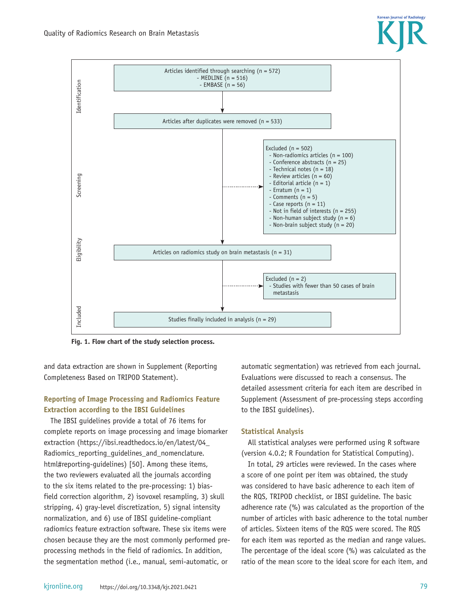

**Fig. 1. Flow chart of the study selection process.**

and data extraction are shown in Supplement (Reporting Completeness Based on TRIPOD Statement).

#### **Reporting of Image Processing and Radiomics Feature Extraction according to the IBSI Guidelines**

The IBSI guidelines provide a total of 76 items for complete reports on image processing and image biomarker extraction (https://ibsi.readthedocs.io/en/latest/04\_ Radiomics\_reporting\_guidelines\_and\_nomenclature. html#reporting-guidelines) [50]. Among these items, the two reviewers evaluated all the journals according to the six items related to the pre-processing: 1) biasfield correction algorithm, 2) isovoxel resampling, 3) skull stripping, 4) gray-level discretization, 5) signal intensity normalization, and 6) use of IBSI guideline-compliant radiomics feature extraction software. These six items were chosen because they are the most commonly performed preprocessing methods in the field of radiomics. In addition, the segmentation method (i.e., manual, semi-automatic, or

automatic segmentation) was retrieved from each journal. Evaluations were discussed to reach a consensus. The detailed assessment criteria for each item are described in Supplement (Assessment of pre-processing steps according to the IBSI guidelines).

#### **Statistical Analysis**

All statistical analyses were performed using R software (version 4.0.2; R Foundation for Statistical Computing).

In total, 29 articles were reviewed. In the cases where a score of one point per item was obtained, the study was considered to have basic adherence to each item of the RQS, TRIPOD checklist, or IBSI guideline. The basic adherence rate (%) was calculated as the proportion of the number of articles with basic adherence to the total number of articles. Sixteen items of the RQS were scored. The RQS for each item was reported as the median and range values. The percentage of the ideal score (%) was calculated as the ratio of the mean score to the ideal score for each item, and

**Korean Journal of Radiology**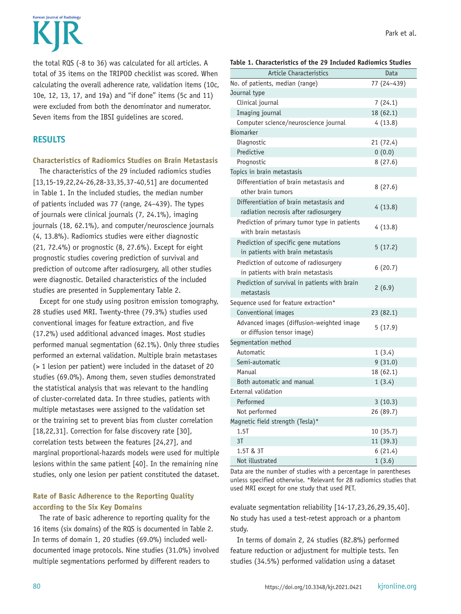Korean Journal of Radiolom

the total RQS (-8 to 36) was calculated for all articles. A total of 35 items on the TRIPOD checklist was scored. When calculating the overall adherence rate, validation items (10c, 10e, 12, 13, 17, and 19a) and "if done" items (5c and 11) were excluded from both the denominator and numerator. Seven items from the IBSI guidelines are scored.

#### **RESULTS**

#### **Characteristics of Radiomics Studies on Brain Metastasis**

The characteristics of the 29 included radiomics studies [13,15-19,22,24-26,28-33,35,37-40,51] are documented in Table 1. In the included studies, the median number of patients included was 77 (range, 24–439). The types of journals were clinical journals (7, 24.1%), imaging journals (18, 62.1%), and computer/neuroscience journals (4, 13.8%). Radiomics studies were either diagnostic (21, 72.4%) or prognostic (8, 27.6%). Except for eight prognostic studies covering prediction of survival and prediction of outcome after radiosurgery, all other studies were diagnostic. Detailed characteristics of the included studies are presented in Supplementary Table 2.

Except for one study using positron emission tomography, 28 studies used MRI. Twenty-three (79.3%) studies used conventional images for feature extraction, and five (17.2%) used additional advanced images. Most studies performed manual segmentation (62.1%). Only three studies performed an external validation. Multiple brain metastases (> 1 lesion per patient) were included in the dataset of 20 studies (69.0%). Among them, seven studies demonstrated the statistical analysis that was relevant to the handling of cluster-correlated data. In three studies, patients with multiple metastases were assigned to the validation set or the training set to prevent bias from cluster correlation [18,22,31]. Correction for false discovery rate [30], correlation tests between the features [24,27], and marginal proportional-hazards models were used for multiple lesions within the same patient [40]. In the remaining nine studies, only one lesion per patient constituted the dataset.

#### **Rate of Basic Adherence to the Reporting Quality according to the Six Key Domains**

The rate of basic adherence to reporting quality for the 16 items (six domains) of the RQS is documented in Table 2. In terms of domain 1, 20 studies (69.0%) included welldocumented image protocols. Nine studies (31.0%) involved multiple segmentations performed by different readers to

|  |  |  | Table 1. Characteristics of the 29 Included Radiomics Studies |  |  |  |  |  |
|--|--|--|---------------------------------------------------------------|--|--|--|--|--|
|--|--|--|---------------------------------------------------------------|--|--|--|--|--|

| <b>Article Characteristics</b>                                                   | Data        |  |  |  |
|----------------------------------------------------------------------------------|-------------|--|--|--|
| No. of patients, median (range)                                                  | 77 (24-439) |  |  |  |
| Journal type                                                                     |             |  |  |  |
| Clinical journal                                                                 | 7(24.1)     |  |  |  |
| Imaging journal                                                                  | 18 (62.1)   |  |  |  |
| Computer science/neuroscience journal                                            | 4(13.8)     |  |  |  |
| <b>Biomarker</b>                                                                 |             |  |  |  |
| Diagnostic                                                                       | 21 (72.4)   |  |  |  |
| Predictive                                                                       | 0(0.0)      |  |  |  |
| Prognostic                                                                       | 8(27.6)     |  |  |  |
| Topics in brain metastasis                                                       |             |  |  |  |
| Differentiation of brain metastasis and<br>other brain tumors                    | 8(27.6)     |  |  |  |
| Differentiation of brain metastasis and<br>radiation necrosis after radiosurgery | 4(13.8)     |  |  |  |
| Prediction of primary tumor type in patients<br>with brain metastasis            | 4(13.8)     |  |  |  |
| Prediction of specific gene mutations<br>in patients with brain metastasis       | 5(17.2)     |  |  |  |
| Prediction of outcome of radiosurgery<br>in patients with brain metastasis       | 6(20.7)     |  |  |  |
| Prediction of survival in patients with brain<br>metastasis                      | 2(6.9)      |  |  |  |
| Sequence used for feature extraction*                                            |             |  |  |  |
| Conventional images                                                              | 23 (82.1)   |  |  |  |
| Advanced images (diffusion-weighted image<br>or diffusion tensor image)          | 5(17.9)     |  |  |  |
| Segmentation method                                                              |             |  |  |  |
| Automatic                                                                        | 1(3.4)      |  |  |  |
| Semi-automatic                                                                   | 9(31.0)     |  |  |  |
| Manual                                                                           | 18 (62.1)   |  |  |  |
| Both automatic and manual                                                        | 1(3.4)      |  |  |  |
| <b>External validation</b>                                                       |             |  |  |  |
| Performed                                                                        | 3(10.3)     |  |  |  |
| Not performed                                                                    | 26 (89.7)   |  |  |  |
| Magnetic field strength (Tesla)*                                                 |             |  |  |  |
| $1.5$ T                                                                          | 10(35.7)    |  |  |  |
| 3T                                                                               | 11 (39.3)   |  |  |  |
| 1.5T & 3T                                                                        | 6(21.4)     |  |  |  |
| Not illustrated                                                                  | 1(3.6)      |  |  |  |

Data are the number of studies with a percentage in parentheses unless specified otherwise. \*Relevant for 28 radiomics studies that used MRI except for one study that used PET.

evaluate segmentation reliability [14-17,23,26,29,35,40]. No study has used a test-retest approach or a phantom study.

In terms of domain 2, 24 studies (82.8%) performed feature reduction or adjustment for multiple tests. Ten studies (34.5%) performed validation using a dataset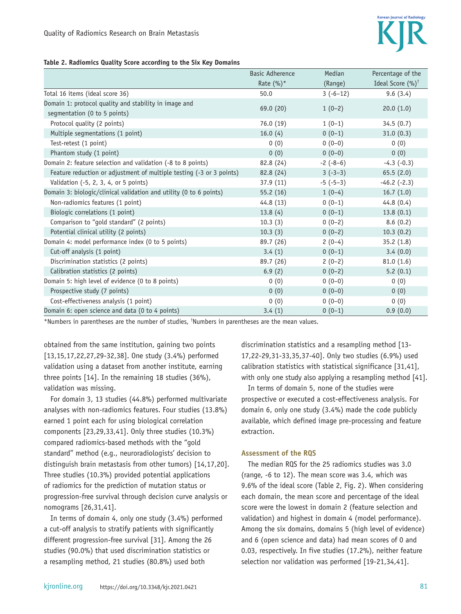#### **Table 2. Radiomics Quality Score according to the Six Key Domains**

|                                                                      | <b>Basic Adherence</b> | Median     | Percentage of the           |
|----------------------------------------------------------------------|------------------------|------------|-----------------------------|
|                                                                      | Rate $(\%)^*$          | (Range)    | Ideal Score $(%)^{\dagger}$ |
| Total 16 items (ideal score 36)                                      | 50.0                   | $3(-6-12)$ | 9.6(3.4)                    |
| Domain 1: protocol quality and stability in image and                |                        |            |                             |
| segmentation (0 to 5 points)                                         | 69.0 (20)              | $1(0-2)$   | 20.0(1.0)                   |
| Protocol quality (2 points)                                          | 76.0(19)               | $1(0-1)$   | 34.5(0.7)                   |
| Multiple segmentations (1 point)                                     | 16.0(4)                | $0(0-1)$   | 31.0(0.3)                   |
| Test-retest (1 point)                                                | 0(0)                   | $0(0-0)$   | 0(0)                        |
| Phantom study (1 point)                                              | 0(0)                   | $0(0-0)$   | 0(0)                        |
| Domain 2: feature selection and validation (-8 to 8 points)          | 82.8 (24)              | $-2(-8-6)$ | $-4.3$ $(-0.3)$             |
| Feature reduction or adjustment of multiple testing (-3 or 3 points) | 82.8 (24)              | $3(-3-3)$  | 65.5(2.0)                   |
| Validation (-5, 2, 3, 4, or 5 points)                                | 37.9(11)               | $-5(-5-3)$ | $-46.2$ $(-2.3)$            |
| Domain 3: biologic/clinical validation and utility (0 to 6 points)   | 55.2(16)               | $1(0-4)$   | 16.7(1.0)                   |
| Non-radiomics features (1 point)                                     | 44.8(13)               | $0(0-1)$   | 44.8(0.4)                   |
| Biologic correlations (1 point)                                      | 13.8(4)                | $0(0-1)$   | 13.8(0.1)                   |
| Comparison to "gold standard" (2 points)                             | 10.3(3)                | $0(0-2)$   | 8.6(0.2)                    |
| Potential clinical utility (2 points)                                | 10.3(3)                | $0(0-2)$   | 10.3(0.2)                   |
| Domain 4: model performance index (0 to 5 points)                    | 89.7 (26)              | $2(0-4)$   | 35.2(1.8)                   |
| Cut-off analysis (1 point)                                           | 3.4(1)                 | $0(0-1)$   | 3.4(0.0)                    |
| Discrimination statistics (2 points)                                 | 89.7 (26)              | $2(0-2)$   | 81.0(1.6)                   |
| Calibration statistics (2 points)                                    | 6.9(2)                 | $0(0-2)$   | 5.2(0.1)                    |
| Domain 5: high level of evidence (0 to 8 points)                     | 0(0)                   | $0(0-0)$   | 0(0)                        |
| Prospective study (7 points)                                         | 0(0)                   | $0(0-0)$   | 0(0)                        |
| Cost-effectiveness analysis (1 point)                                | 0(0)                   | $0(0-0)$   | 0(0)                        |
| Domain 6: open science and data (0 to 4 points)                      | 3.4(1)                 | $0(0-1)$   | 0.9(0.0)                    |

\*Numbers in parentheses are the number of studies, † Numbers in parentheses are the mean values.

obtained from the same institution, gaining two points [13,15,17,22,27,29-32,38]. One study (3.4%) performed validation using a dataset from another institute, earning three points [14]. In the remaining 18 studies (36%), validation was missing.

For domain 3, 13 studies (44.8%) performed multivariate analyses with non-radiomics features. Four studies (13.8%) earned 1 point each for using biological correlation components [23,29,33,41]. Only three studies (10.3%) compared radiomics-based methods with the "gold standard" method (e.g., neuroradiologists' decision to distinguish brain metastasis from other tumors) [14,17,20]. Three studies (10.3%) provided potential applications of radiomics for the prediction of mutation status or progression-free survival through decision curve analysis or nomograms [26,31,41].

In terms of domain 4, only one study (3.4%) performed a cut-off analysis to stratify patients with significantly different progression-free survival [31]. Among the 26 studies (90.0%) that used discrimination statistics or a resampling method, 21 studies (80.8%) used both

discrimination statistics and a resampling method [13- 17,22-29,31-33,35,37-40]. Only two studies (6.9%) used calibration statistics with statistical significance [31,41], with only one study also applying a resampling method [41].

In terms of domain 5, none of the studies were prospective or executed a cost-effectiveness analysis. For domain 6, only one study (3.4%) made the code publicly available, which defined image pre-processing and feature extraction.

#### **Assessment of the RQS**

The median RQS for the 25 radiomics studies was 3.0 (range, -6 to 12). The mean score was 3.4, which was 9.6% of the ideal score (Table 2, Fig. 2). When considering each domain, the mean score and percentage of the ideal score were the lowest in domain 2 (feature selection and validation) and highest in domain 4 (model performance). Among the six domains, domains 5 (high level of evidence) and 6 (open science and data) had mean scores of 0 and 0.03, respectively. In five studies (17.2%), neither feature selection nor validation was performed [19-21,34,41].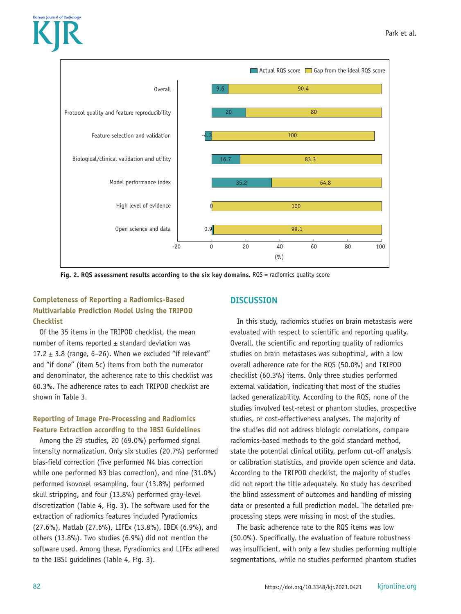



Fig. 2. RQS assessment results according to the six key domains. RQS = radiomics quality score

## **Completeness of Reporting a Radiomics-Based Multivariable Prediction Model Using the TRIPOD Checklist**

Of the 35 items in the TRIPOD checklist, the mean number of items reported  $\pm$  standard deviation was 17.2  $\pm$  3.8 (range, 6–26). When we excluded "if relevant" and "if done" (item 5c) items from both the numerator and denominator, the adherence rate to this checklist was 60.3%. The adherence rates to each TRIPOD checklist are shown in Table 3.

# **Reporting of Image Pre-Processing and Radiomics Feature Extraction according to the IBSI Guidelines**

Among the 29 studies, 20 (69.0%) performed signal intensity normalization. Only six studies (20.7%) performed bias-field correction (five performed N4 bias correction while one performed N3 bias correction), and nine (31.0%) performed isovoxel resampling, four (13.8%) performed skull stripping, and four (13.8%) performed gray-level discretization (Table 4, Fig. 3). The software used for the extraction of radiomics features included Pyradiomics (27.6%), Matlab (27.6%), LIFEx (13.8%), IBEX (6.9%), and others (13.8%). Two studies (6.9%) did not mention the software used. Among these, Pyradiomics and LIFEx adhered to the IBSI guidelines (Table 4, Fig. 3).

# **DISCUSSION**

In this study, radiomics studies on brain metastasis were evaluated with respect to scientific and reporting quality. Overall, the scientific and reporting quality of radiomics studies on brain metastases was suboptimal, with a low overall adherence rate for the RQS (50.0%) and TRIPOD checklist (60.3%) items. Only three studies performed external validation, indicating that most of the studies lacked generalizability. According to the RQS, none of the studies involved test-retest or phantom studies, prospective studies, or cost-effectiveness analyses. The majority of the studies did not address biologic correlations, compare radiomics-based methods to the gold standard method, state the potential clinical utility, perform cut-off analysis or calibration statistics, and provide open science and data. According to the TRIPOD checklist, the majority of studies did not report the title adequately. No study has described the blind assessment of outcomes and handling of missing data or presented a full prediction model. The detailed preprocessing steps were missing in most of the studies.

The basic adherence rate to the RQS items was low (50.0%). Specifically, the evaluation of feature robustness was insufficient, with only a few studies performing multiple segmentations, while no studies performed phantom studies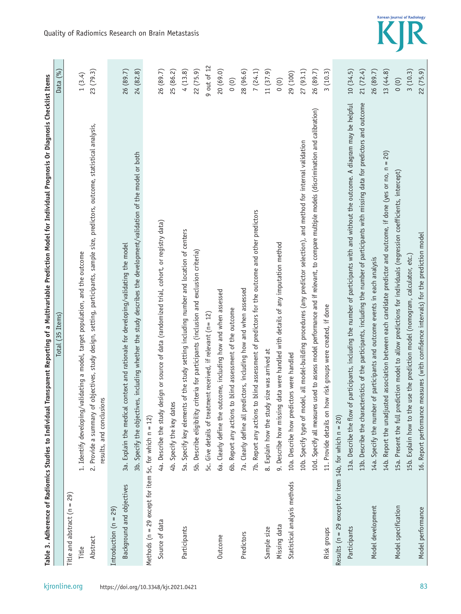| kjronline.org |
|---------------|
|               |
|               |

| <b>COMPARY SERVIT SUSSIGN OF THE SERVITOR COMPARY OF THE SUBSIGNER COMPARY OF THE SUBSIGNER OF THE SUBSIGNER OF THE SUBSIGNER OF THE SUBSIGNER OF THE SUBSIGNER OF THE SUBSIGNER OF THE SUBSIGNER OF THE SUBSIGNER OF THE SUBSIG</b><br>と 10 2011年12月 |         |
|-------------------------------------------------------------------------------------------------------------------------------------------------------------------------------------------------------------------------------------------------------|---------|
| Total (35 Items,                                                                                                                                                                                                                                      | Data (% |
| ì<br>$\mathbf{I}$<br>้ง                                                                                                                                                                                                                               |         |

|                                                              | Items)<br>(35)<br><b>Total</b>                                                                                                                               | Data (%)                               |
|--------------------------------------------------------------|--------------------------------------------------------------------------------------------------------------------------------------------------------------|----------------------------------------|
| Title and abstract ( $n = 29$ )                              |                                                                                                                                                              |                                        |
| Title                                                        | 1. Identify developing/validating a model, target population, and the outcome                                                                                | 1(3.4)                                 |
| Abstract                                                     | 2. Provide a summary of objectives, study design, setting, participants, sample size, predictors, outcome, statistical analysis,<br>results, and conclusions | 23(79.3)                               |
| Introduction $(n = 29)$                                      |                                                                                                                                                              |                                        |
| Background and objectives                                    | context and rationale for developing/validating the model<br>3a. Explain the medical                                                                         | 26 (89.7)                              |
|                                                              | 3b. Specify the objectives, including whether the study describes the development/validation of the model or both                                            | 24 (82.8)                              |
| Methods ( $n = 29$ except for item 5c, for which $n = 12$ )  |                                                                                                                                                              |                                        |
| Source of data                                               | 4a. Describe the study design or source of data (randomized trial, cohort, or registry data)                                                                 | 26 (89.7)                              |
|                                                              | 4b. Specify the key dates                                                                                                                                    | 25 (86.2)                              |
| Participants                                                 | 5a. Specify key elements of the study setting including number and location of centers                                                                       | 4(13.8)                                |
|                                                              | 5b. Describe eligibility criteria for participants (inclusion and exclusion criteria)                                                                        | 22(75.9)                               |
|                                                              | 5c. Give details of treatment received, if relevant (n = 12)                                                                                                 | 9 out of 12                            |
| Outcome                                                      | 6a. Clearly define the outcome, including how and when assessed                                                                                              | 20 (69.0)                              |
|                                                              | 6b. Report any actions to blind assessment of the outcome                                                                                                    | $\begin{pmatrix} 0 \\ 0 \end{pmatrix}$ |
| Predictors                                                   | 7a. Clearly define all predictors, including how and when assessed                                                                                           | 28 (96.6)                              |
|                                                              | 7b. Report any actions to blind assessment of predictors for the outcome and other predictors                                                                | 7(24.1)                                |
| Sample size                                                  | 8. Explain how the study size was arrived at                                                                                                                 | 11(37.9)                               |
| Missing data                                                 | data were handled with details of any imputation method<br>9. Describe how missing                                                                           | (0)                                    |
| Statistical analysis methods                                 | 10a. Describe how predictors were handled                                                                                                                    | 29 (100)                               |
|                                                              | 10b. Specify type of model, all model-building procedures (any predictor selection), and method for internal validation                                      | 27(93.1)                               |
|                                                              | 10d. Specify all measures used to assess model performance and if relevant, to compare multiple models (discrimination and calibration)                      | 26 (89.7)                              |
| Risk groups                                                  | 11. Provide details on how risk groups were created, if done                                                                                                 | 3(10.3)                                |
| Results ( $n = 29$ except for item 14b, for which $n = 20$ ) |                                                                                                                                                              |                                        |
| Participants                                                 | 13a. Describe the flow of participants, including the number of participants with and without the outcome. A diagram may be helpful                          | 10(34.5)                               |
|                                                              | 13b. Describe the characteristics of the participants, including the number of participants with missing data for predictors and outcome                     | 21(72.4)                               |
| Model development                                            | 14a. Specify the number of participants and outcome events in each analysis                                                                                  | 26 (89.7)                              |
|                                                              | 14b. Report the unadjusted association between each candidate predictor and outcome, if done (yes or no, $n = 20$ )                                          | 13(44.8)                               |
| Model specification                                          | 15a. Present the full prediction model to allow predictions for individuals (regression coefficients, intercept)                                             | (0)                                    |
|                                                              | use the prediction model (nomogram, calculator, etc.)<br>15b. Explain how to the                                                                             | 3(10.3)                                |
| Model performance                                            | measures (with confidence intervals) for the prediction model<br>16. Report performance                                                                      | 22 (75.9)                              |



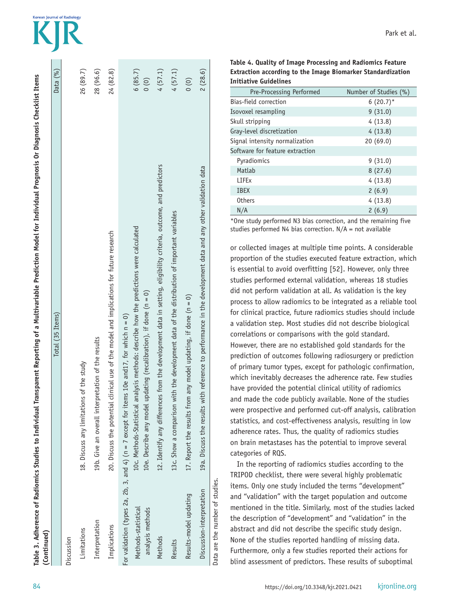| (Continued)                             |                                                                                                                                                                                                                                                                   |                                        |
|-----------------------------------------|-------------------------------------------------------------------------------------------------------------------------------------------------------------------------------------------------------------------------------------------------------------------|----------------------------------------|
|                                         | Total (35 Items)                                                                                                                                                                                                                                                  | Data (%)                               |
| Discussion                              |                                                                                                                                                                                                                                                                   |                                        |
| Limitations                             | of the study<br>18. Discuss any limitations                                                                                                                                                                                                                       | 26 (89.7)                              |
| Interpretation                          | 19b. Give an overall interpretation of the results                                                                                                                                                                                                                | 28 (96.6)                              |
| Implications                            | 20. Discuss the potential clinical use of the model and implications for future research                                                                                                                                                                          | 24 (82.8)                              |
| Methods-statistical<br>analysis methods | 10c. Methods-Statistical analysis methods: describe how the predictions were calculated<br>10e. Describe any model updating (recalibration), if done (n = 0)<br>For validation (types 2a, 2b, 3, and 4) ( $n = 7$ except for items 10e and17, for which $n = 0$ ) | 6(85.7)<br>(0)                         |
| Methods                                 | 12. Identify any differences from the development data in setting, eligibility criteria, outcome, and predictors                                                                                                                                                  | 4(57.1)                                |
| Results                                 | 13c. Show a comparison with the development data of the distribution of important variables                                                                                                                                                                       | 4(57.1)                                |
| Results-model updating                  | any model updating, if done $(n = 0)$<br>17. Report the results from                                                                                                                                                                                              | $\begin{pmatrix} 0 \\ 0 \end{pmatrix}$ |
| Discussion-interpretation               | 19a. Discuss the results with reference to performance in the development data and any other validation data                                                                                                                                                      | 2(28.6)                                |
| Data are the number of studies.         |                                                                                                                                                                                                                                                                   |                                        |

**Korean Journal of Radiolom** 

| Table 4. Quality of Image Processing and Radiomics Feature         |
|--------------------------------------------------------------------|
| <b>Extraction according to the Image Biomarker Standardization</b> |
| Initiative Guidelines                                              |

| Pre-Processing Performed        | Number of Studies (%) |
|---------------------------------|-----------------------|
| Bias-field correction           | $6(20.7)^*$           |
| Isovoxel resampling             | 9(31.0)               |
| Skull stripping                 | 4(13.8)               |
| Gray-level discretization       | 4(13.8)               |
| Signal intensity normalization  | 20(69.0)              |
| Software for feature extraction |                       |
| Pyradiomics                     | 9(31.0)               |
| Matlab                          | 8(27.6)               |
| <b>LIFEx</b>                    | 4(13.8)               |
| <b>IBEX</b>                     | 2(6.9)                |
| <b>Others</b>                   | 4(13.8)               |
| N/A                             | 2(6.9)                |

\*One study performed N3 bias correction, and the remaining five studies performed N4 bias correction.  $N/A = \text{not available}$ 

or collected images at multiple time points. A considerable proportion of the studies executed feature extraction, which is essential to avoid overfitting [52]. However, only three studies performed external validation, whereas 18 studies did not perform validation at all. As validation is the key process to allow radiomics to be integrated as a reliable tool for clinical practice, future radiomics studies should include a validation step. Most studies did not describe biological correlations or comparisons with the gold standard. However, there are no established gold standards for the prediction of outcomes following radiosurgery or prediction of primary tumor types, except for pathologic confirmation, which inevitably decreases the adherence rate. Few studies have provided the potential clinical utility of radiomics and made the code publicly available. None of the studies were prospective and performed cut-off analysis, calibration statistics, and cost-effectiveness analysis, resulting in low adherence rates. Thus, the quality of radiomics studies on brain metastases has the potential to improve several categories of RQS.

In the reporting of radiomics studies according to the TRIPOD checklist, there were several highly problematic items. Only one study included the terms "development" and "validation" with the target population and outcome mentioned in the title. Similarly, most of the studies lacked the description of "development" and "validation" in the abstract and did not describe the specific study design. None of the studies reported handling of missing data. Furthermore, only a few studies reported their actions for blind assessment of predictors. These results of suboptimal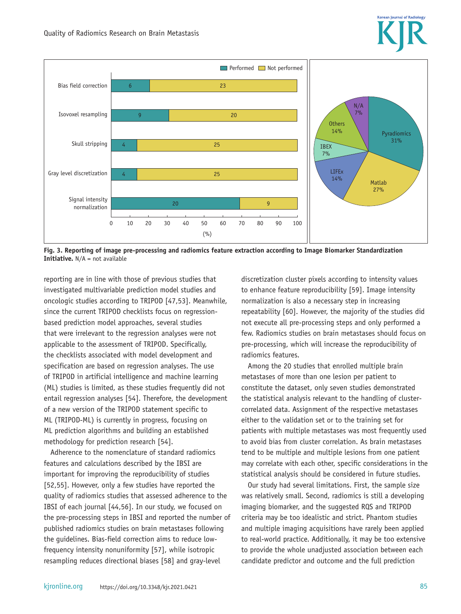



**Fig. 3. Reporting of image pre-processing and radiomics feature extraction according to Image Biomarker Standardization Initiative.** N/A = not available

reporting are in line with those of previous studies that investigated multivariable prediction model studies and oncologic studies according to TRIPOD [47,53]. Meanwhile, since the current TRIPOD checklists focus on regressionbased prediction model approaches, several studies that were irrelevant to the regression analyses were not applicable to the assessment of TRIPOD. Specifically, the checklists associated with model development and specification are based on regression analyses. The use of TRIPOD in artificial intelligence and machine learning (ML) studies is limited, as these studies frequently did not entail regression analyses [54]. Therefore, the development of a new version of the TRIPOD statement specific to ML (TRIPOD-ML) is currently in progress, focusing on ML prediction algorithms and building an established methodology for prediction research [54].

Adherence to the nomenclature of standard radiomics features and calculations described by the IBSI are important for improving the reproducibility of studies [52,55]. However, only a few studies have reported the quality of radiomics studies that assessed adherence to the IBSI of each journal [44,56]. In our study, we focused on the pre-processing steps in IBSI and reported the number of published radiomics studies on brain metastases following the guidelines. Bias-field correction aims to reduce lowfrequency intensity nonuniformity [57], while isotropic resampling reduces directional biases [58] and gray-level

discretization cluster pixels according to intensity values to enhance feature reproducibility [59]. Image intensity normalization is also a necessary step in increasing repeatability [60]. However, the majority of the studies did not execute all pre-processing steps and only performed a few. Radiomics studies on brain metastases should focus on pre-processing, which will increase the reproducibility of radiomics features.

Among the 20 studies that enrolled multiple brain metastases of more than one lesion per patient to constitute the dataset, only seven studies demonstrated the statistical analysis relevant to the handling of clustercorrelated data. Assignment of the respective metastases either to the validation set or to the training set for patients with multiple metastases was most frequently used to avoid bias from cluster correlation. As brain metastases tend to be multiple and multiple lesions from one patient may correlate with each other, specific considerations in the statistical analysis should be considered in future studies.

Our study had several limitations. First, the sample size was relatively small. Second, radiomics is still a developing imaging biomarker, and the suggested RQS and TRIPOD criteria may be too idealistic and strict. Phantom studies and multiple imaging acquisitions have rarely been applied to real-world practice. Additionally, it may be too extensive to provide the whole unadjusted association between each candidate predictor and outcome and the full prediction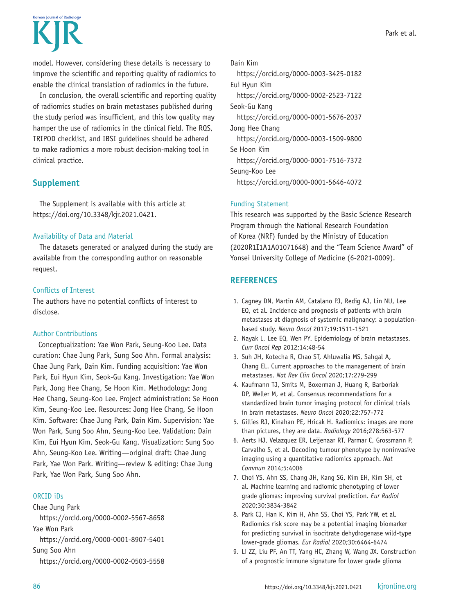

model. However, considering these details is necessary to improve the scientific and reporting quality of radiomics to enable the clinical translation of radiomics in the future.

In conclusion, the overall scientific and reporting quality of radiomics studies on brain metastases published during the study period was insufficient, and this low quality may hamper the use of radiomics in the clinical field. The RQS, TRIPOD checklist, and IBSI guidelines should be adhered to make radiomics a more robust decision-making tool in clinical practice.

## **Supplement**

The Supplement is available with this article at https://doi.org/10.3348/kjr.2021.0421.

#### Availability of Data and Material

The datasets generated or analyzed during the study are available from the corresponding author on reasonable request.

#### Conflicts of Interest

The authors have no potential conflicts of interest to disclose.

#### Author Contributions

Conceptualization: Yae Won Park, Seung-Koo Lee. Data curation: Chae Jung Park, Sung Soo Ahn. Formal analysis: Chae Jung Park, Dain Kim. Funding acquisition: Yae Won Park, Eui Hyun Kim, Seok-Gu Kang. Investigation: Yae Won Park, Jong Hee Chang, Se Hoon Kim. Methodology: Jong Hee Chang, Seung-Koo Lee. Project administration: Se Hoon Kim, Seung-Koo Lee. Resources: Jong Hee Chang, Se Hoon Kim. Software: Chae Jung Park, Dain Kim. Supervision: Yae Won Park, Sung Soo Ahn, Seung-Koo Lee. Validation: Dain Kim, Eui Hyun Kim, Seok-Gu Kang. Visualization: Sung Soo Ahn, Seung-Koo Lee. Writing—original draft: Chae Jung Park, Yae Won Park. Writing—review & editing: Chae Jung Park, Yae Won Park, Sung Soo Ahn.

#### ORCID iDs

Chae Jung Park https://orcid.org/0000-0002-5567-8658 Yae Won Park https://orcid.org/0000-0001-8907-5401 Sung Soo Ahn https://orcid.org/0000-0002-0503-5558 Dain Kim

https://orcid.org/0000-0003-3425-0182 Eui Hyun Kim https://orcid.org/0000-0002-2523-7122 Seok-Gu Kang https://orcid.org/0000-0001-5676-2037 Jong Hee Chang https://orcid.org/0000-0003-1509-9800 Se Hoon Kim https://orcid.org/0000-0001-7516-7372 Seung-Koo Lee https://orcid.org/0000-0001-5646-4072

#### Funding Statement

This research was supported by the Basic Science Research Program through the National Research Foundation of Korea (NRF) funded by the Ministry of Education (2020R1I1A1A01071648) and the "Team Science Award" of Yonsei University College of Medicine (6-2021-0009).

# **REFERENCES**

- 1. Cagney DN, Martin AM, Catalano PJ, Redig AJ, Lin NU, Lee EQ, et al. Incidence and prognosis of patients with brain metastases at diagnosis of systemic malignancy: a populationbased study. *Neuro Oncol* 2017;19:1511-1521
- 2. Nayak L, Lee EQ, Wen PY. Epidemiology of brain metastases. *Curr Oncol Rep* 2012;14:48-54
- 3. Suh JH, Kotecha R, Chao ST, Ahluwalia MS, Sahgal A, Chang EL. Current approaches to the management of brain metastases. *Nat Rev Clin Oncol* 2020;17:279-299
- 4. Kaufmann TJ, Smits M, Boxerman J, Huang R, Barboriak DP, Weller M, et al. Consensus recommendations for a standardized brain tumor imaging protocol for clinical trials in brain metastases. *Neuro Oncol* 2020;22:757-772
- 5. Gillies RJ, Kinahan PE, Hricak H. Radiomics: images are more than pictures, they are data. *Radiology* 2016;278:563-577
- 6. Aerts HJ, Velazquez ER, Leijenaar RT, Parmar C, Grossmann P, Carvalho S, et al. Decoding tumour phenotype by noninvasive imaging using a quantitative radiomics approach. *Nat Commun* 2014;5:4006
- 7. Choi YS, Ahn SS, Chang JH, Kang SG, Kim EH, Kim SH, et al. Machine learning and radiomic phenotyping of lower grade gliomas: improving survival prediction. *Eur Radiol* 2020;30:3834-3842
- 8. Park CJ, Han K, Kim H, Ahn SS, Choi YS, Park YW, et al. Radiomics risk score may be a potential imaging biomarker for predicting survival in isocitrate dehydrogenase wild-type lower-grade gliomas. *Eur Radiol* 2020;30:6464-6474
- 9. Li ZZ, Liu PF, An TT, Yang HC, Zhang W, Wang JX. Construction of a prognostic immune signature for lower grade glioma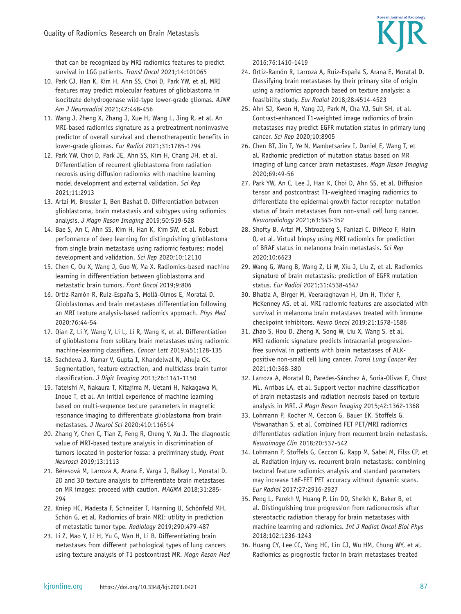that can be recognized by MRI radiomics features to predict survival in LGG patients. *Transl Oncol* 2021;14:101065

- 10. Park CJ, Han K, Kim H, Ahn SS, Choi D, Park YW, et al. MRI features may predict molecular features of glioblastoma in isocitrate dehydrogenase wild-type lower-grade gliomas. *AJNR Am J Neuroradiol* 2021;42:448-456
- 11. Wang J, Zheng X, Zhang J, Xue H, Wang L, Jing R, et al. An MRI-based radiomics signature as a pretreatment noninvasive predictor of overall survival and chemotherapeutic benefits in lower-grade gliomas. *Eur Radiol* 2021;31:1785-1794
- 12. Park YW, Choi D, Park JE, Ahn SS, Kim H, Chang JH, et al. Differentiation of recurrent glioblastoma from radiation necrosis using diffusion radiomics with machine learning model development and external validation. *Sci Rep* 2021;11:2913
- 13. Artzi M, Bressler I, Ben Bashat D. Differentiation between glioblastoma, brain metastasis and subtypes using radiomics analysis. *J Magn Reson Imaging* 2019;50:519-528
- 14. Bae S, An C, Ahn SS, Kim H, Han K, Kim SW, et al. Robust performance of deep learning for distinguishing glioblastoma from single brain metastasis using radiomic features: model development and validation. *Sci Rep* 2020;10:12110
- 15. Chen C, Ou X, Wang J, Guo W, Ma X. Radiomics-based machine learning in differentiation between glioblastoma and metastatic brain tumors. *Front Oncol* 2019;9:806
- 16. Ortiz-Ramón R, Ruiz-España S, Mollá-Olmos E, Moratal D. Glioblastomas and brain metastases differentiation following an MRI texture analysis-based radiomics approach. *Phys Med* 2020;76:44-54
- 17. Qian Z, Li Y, Wang Y, Li L, Li R, Wang K, et al. Differentiation of glioblastoma from solitary brain metastases using radiomic machine-learning classifiers. *Cancer Lett* 2019;451:128-135
- 18. Sachdeva J, Kumar V, Gupta I, Khandelwal N, Ahuja CK. Segmentation, feature extraction, and multiclass brain tumor classification. *J Digit Imaging* 2013;26:1141-1150
- 19. Tateishi M, Nakaura T, Kitajima M, Uetani H, Nakagawa M, Inoue T, et al. An initial experience of machine learning based on multi-sequence texture parameters in magnetic resonance imaging to differentiate glioblastoma from brain metastases. *J Neurol Sci* 2020;410:116514
- 20. Zhang Y, Chen C, Tian Z, Feng R, Cheng Y, Xu J. The diagnostic value of MRI-based texture analysis in discrimination of tumors located in posterior fossa: a preliminary study. *Front Neurosci* 2019;13:1113
- 21. Béresová M, Larroza A, Arana E, Varga J, Balkay L, Moratal D. 2D and 3D texture analysis to differentiate brain metastases on MR images: proceed with caution. *MAGMA* 2018;31:285- 294
- 22. Kniep HC, Madesta F, Schneider T, Hanning U, Schönfeld MH, Schön G, et al. Radiomics of brain MRI: utility in prediction of metastatic tumor type. *Radiology* 2019;290:479-487
- 23. Li Z, Mao Y, Li H, Yu G, Wan H, Li B. Differentiating brain metastases from different pathological types of lung cancers using texture analysis of T1 postcontrast MR. *Magn Reson Med*

2016;76:1410-1419

- 24. Ortiz-Ramón R, Larroza A, Ruiz-España S, Arana E, Moratal D. Classifying brain metastases by their primary site of origin using a radiomics approach based on texture analysis: a feasibility study. *Eur Radiol* 2018;28:4514-4523
- 25. Ahn SJ, Kwon H, Yang JJ, Park M, Cha YJ, Suh SH, et al. Contrast-enhanced T1-weighted image radiomics of brain metastases may predict EGFR mutation status in primary lung cancer. *Sci Rep* 2020;10:8905
- 26. Chen BT, Jin T, Ye N, Mambetsariev I, Daniel E, Wang T, et al. Radiomic prediction of mutation status based on MR imaging of lung cancer brain metastases. *Magn Reson Imaging* 2020;69:49-56
- 27. Park YW, An C, Lee J, Han K, Choi D, Ahn SS, et al. Diffusion tensor and postcontrast T1-weighted imaging radiomics to differentiate the epidermal growth factor receptor mutation status of brain metastases from non-small cell lung cancer. *Neuroradiology* 2021;63:343-352
- 28. Shofty B, Artzi M, Shtrozberg S, Fanizzi C, DiMeco F, Haim O, et al. Virtual biopsy using MRI radiomics for prediction of BRAF status in melanoma brain metastasis. *Sci Rep* 2020;10:6623
- 29. Wang G, Wang B, Wang Z, Li W, Xiu J, Liu Z, et al. Radiomics signature of brain metastasis: prediction of EGFR mutation status. *Eur Radiol* 2021;31:4538-4547
- 30. Bhatia A, Birger M, Veeraraghavan H, Um H, Tixier F, McKenney AS, et al. MRI radiomic features are associated with survival in melanoma brain metastases treated with immune checkpoint inhibitors. *Neuro Oncol* 2019;21:1578-1586
- 31. Zhao S, Hou D, Zheng X, Song W, Liu X, Wang S, et al. MRI radiomic signature predicts intracranial progressionfree survival in patients with brain metastases of ALKpositive non-small cell lung cancer. *Transl Lung Cancer Res* 2021;10:368-380
- 32. Larroza A, Moratal D, Paredes-Sánchez A, Soria-Olivas E, Chust ML, Arribas LA, et al. Support vector machine classification of brain metastasis and radiation necrosis based on texture analysis in MRI. *J Magn Reson Imaging* 2015;42:1362-1368
- 33. Lohmann P, Kocher M, Ceccon G, Bauer EK, Stoffels G, Viswanathan S, et al. Combined FET PET/MRI radiomics differentiates radiation injury from recurrent brain metastasis. *Neuroimage Clin* 2018;20:537-542
- 34. Lohmann P, Stoffels G, Ceccon G, Rapp M, Sabel M, Filss CP, et al. Radiation injury vs. recurrent brain metastasis: combining textural feature radiomics analysis and standard parameters may increase 18F-FET PET accuracy without dynamic scans. *Eur Radiol* 2017;27:2916-2927
- 35. Peng L, Parekh V, Huang P, Lin DD, Sheikh K, Baker B, et al. Distinguishing true progression from radionecrosis after stereotactic radiation therapy for brain metastases with machine learning and radiomics. *Int J Radiat Oncol Biol Phys* 2018;102:1236-1243
- 36. Huang CY, Lee CC, Yang HC, Lin CJ, Wu HM, Chung WY, et al. Radiomics as prognostic factor in brain metastases treated